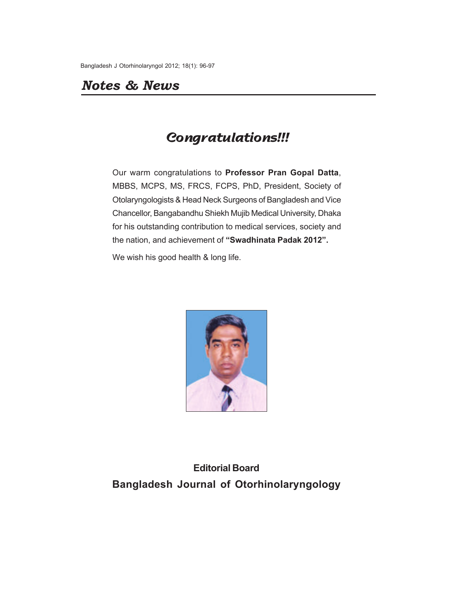## *Notes & News*

# **Congratulations!!!**

Our warm congratulations to **Professor Pran Gopal Datta**, MBBS, MCPS, MS, FRCS, FCPS, PhD, President, Society of Otolaryngologists & Head Neck Surgeons of Bangladesh and Vice Chancellor, Bangabandhu Shiekh Mujib Medical University, Dhaka for his outstanding contribution to medical services, society and the nation, and achievement of **"Swadhinata Padak 2012".**

We wish his good health & long life.



**Editorial Board Bangladesh Journal of Otorhinolaryngology**